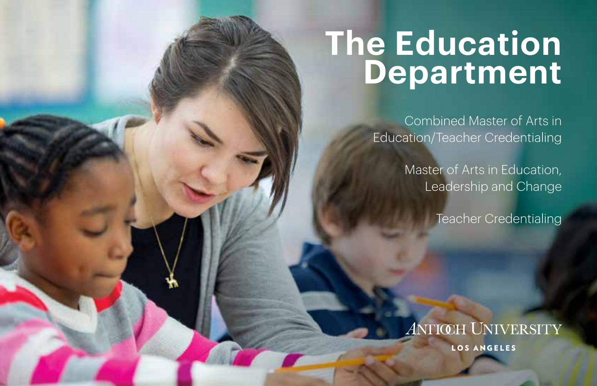# **The Education Department**

Combined Master of Arts in Education/Teacher Credentialing

> Master of Arts in Education, Leadership and Change

> > Teacher Credentialing

**ANTIŒH UNIVERSITY** LOS ANGELES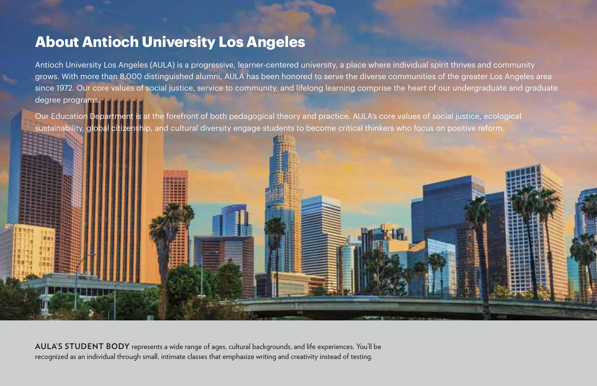### **About Antioch University Los Angeles**

Antioch University Los Angeles (AULA) is a progressive, learner-centered university, a place where individual spirit thrives and community grows. With more than 8,000 distinguished alumni, AULA has been honored to serve the diverse communities of the greater Los Angeles area since 1972. Our core values of social justice, service to community, and lifelong learning comprise the heart of our undergraduate and graduate degree programs.

Our Education Department is at the forefront of both pedagogical theory and practice. AULA's core values of social justice, ecological sustainability, global citizenship, and cultural diversity engage students to become critical thinkers who focus on positive reform.



**AULA'S STUDENT BODY** represents a wide range of ages, cultural backgrounds, and life experiences. You'll be recognized as an individual through small, intimate classes that emphasize writing and creativity instead of testing.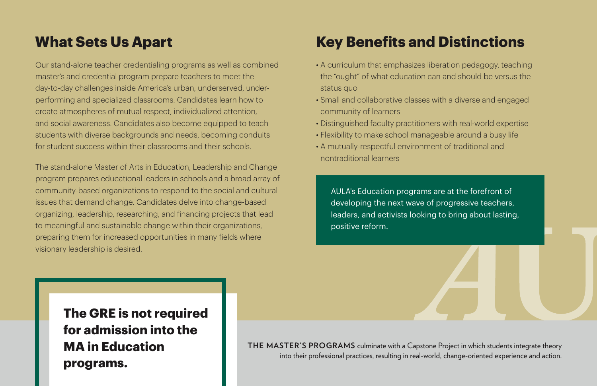## **What Sets Us Apart**

Our stand-alone teacher credentialing programs as well as combined master's and credential program prepare teachers to meet the day-to-day challenges inside America's urban, underserved, underperforming and specialized classrooms. Candidates learn how to create atmospheres of mutual respect, individualized attention, and social awareness. Candidates also become equipped to teach students with diverse backgrounds and needs, becoming conduits for student success within their classrooms and their schools.

The stand-alone Master of Arts in Education, Leadership and Change program prepares educational leaders in schools and a broad array of community-based organizations to respond to the social and cultural issues that demand change. Candidates delve into change-based organizing, leadership, researching, and financing projects that lead to meaningful and sustainable change within their organizations, preparing them for increased opportunities in many fields where visionary leadership is desired.

## **Key Benefits and Distinctions**

- A curriculum that emphasizes liberation pedagogy, teaching the "ought" of what education can and should be versus the status quo
- Small and collaborative classes with a diverse and engaged community of learners
- Distinguished faculty practitioners with real-world expertise
- Flexibility to make school manageable around a busy life
- A mutually-respectful environment of traditional and nontraditional learners

AULA's Education programs are at the forefront of developing the next wave of progressive teachers, leaders, and activists looking to bring about lasting, positive reform.

**The GRE is not required for admission into the MA in Education programs.**

**THE MASTER'S PROGRAMS** culminate with a Capstone Project in which students integrate theory into their professional practices, resulting in real-world, change-oriented experience and action.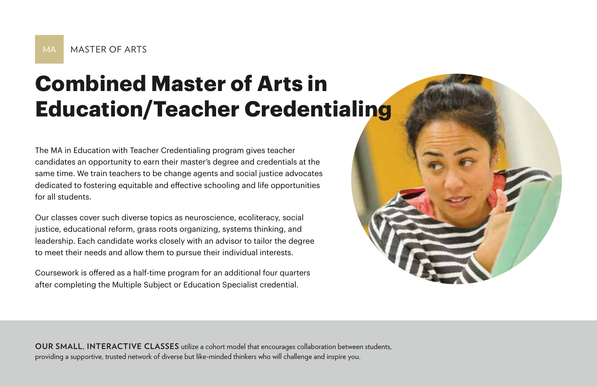## **Combined Master of Arts in Education/Teacher Credentialing**

The MA in Education with Teacher Credentialing program gives teacher candidates an opportunity to earn their master's degree and credentials at the same time. We train teachers to be change agents and social justice advocates dedicated to fostering equitable and effective schooling and life opportunities for all students.

Our classes cover such diverse topics as neuroscience, ecoliteracy, social justice, educational reform, grass roots organizing, systems thinking, and leadership. Each candidate works closely with an advisor to tailor the degree to meet their needs and allow them to pursue their individual interests.

Coursework is offered as a half-time program for an additional four quarters after completing the Multiple Subject or Education Specialist credential.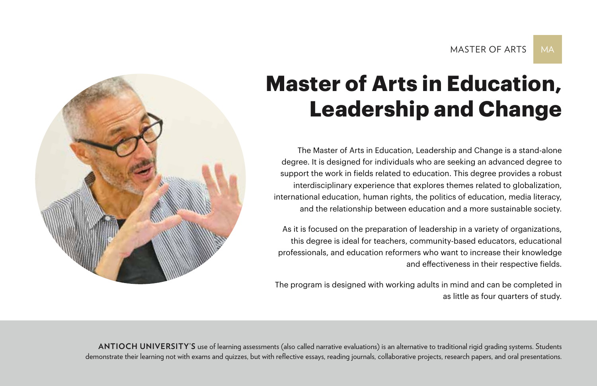## **Master of Arts in Education, Leadership and Change**

The Master of Arts in Education, Leadership and Change is a stand-alone degree. It is designed for individuals who are seeking an advanced degree to support the work in fields related to education. This degree provides a robust interdisciplinary experience that explores themes related to globalization, international education, human rights, the politics of education, media literacy, and the relationship between education and a more sustainable society.

As it is focused on the preparation of leadership in a variety of organizations, this degree is ideal for teachers, community-based educators, educational professionals, and education reformers who want to increase their knowledge and effectiveness in their respective fields.

The program is designed with working adults in mind and can be completed in as little as four quarters of study.



ANTIOCH UNIVERSITY'S use of learning assessments (also called narrative evaluations) is an alternative to traditional rigid grading systems. Students demonstrate their learning not with exams and quizzes, but with reflective essays, reading journals, collaborative projects, research papers, and oral presentations.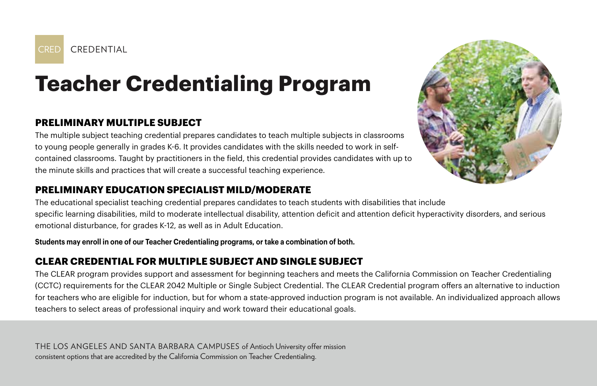

## **Teacher Credentialing Program**

### **PRELIMINARY MULTIPLE SUBJECT**

The multiple subject teaching credential prepares candidates to teach multiple subjects in classrooms to young people generally in grades K-6. It provides candidates with the skills needed to work in selfcontained classrooms. Taught by practitioners in the field, this credential provides candidates with up to the minute skills and practices that will create a successful teaching experience.

#### **PRELIMINARY EDUCATION SPECIALIST MILD/MODERATE**

The educational specialist teaching credential prepares candidates to teach students with disabilities that include specific learning disabilities, mild to moderate intellectual disability, attention deficit and attention deficit hyperactivity disorders, and serious emotional disturbance, for grades K-12, as well as in Adult Education.

**Students may enroll in one of our Teacher Credentialing programs, or take a combination of both.**

### **CLEAR CREDENTIAL FOR MULTIPLE SUBJECT AND SINGLE SUBJECT**

The CLEAR program provides support and assessment for beginning teachers and meets the California Commission on Teacher Credentialing (CCTC) requirements for the CLEAR 2042 Multiple or Single Subject Credential. The CLEAR Credential program offers an alternative to induction for teachers who are eligible for induction, but for whom a state-approved induction program is not available. An individualized approach allows teachers to select areas of professional inquiry and work toward their educational goals.

THE LOS ANGELES AND SANTA BARBARA CAMPUSES of Antioch University offer mission consistent options that are accredited by the California Commission on Teacher Credentialing.

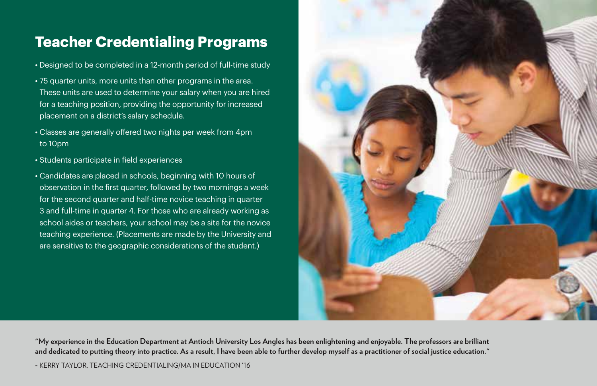## **Teacher Credentialing Programs**

- Designed to be completed in a 12-month period of full-time study
- 75 quarter units, more units than other programs in the area. These units are used to determine your salary when you are hired for a teaching position, providing the opportunity for increased placement on a district's salary schedule.
- Classes are generally offered two nights per week from 4pm to 10pm
- Students participate in field experiences
- Candidates are placed in schools, beginning with 10 hours of observation in the first quarter, followed by two mornings a week for the second quarter and half-time novice teaching in quarter 3 and full-time in quarter 4. For those who are already working as school aides or teachers, your school may be a site for the novice teaching experience. (Placements are made by the University and are sensitive to the geographic considerations of the student.)



**"My experience in the Education Department at Antioch University Los Angles has been enlightening and enjoyable. The professors are brilliant and dedicated to putting theory into practice. As a result, I have been able to further develop myself as a practitioner of social justice education."** 

**-** KERRY TAYLOR, TEACHING CREDENTIALING/MA IN EDUCATION '16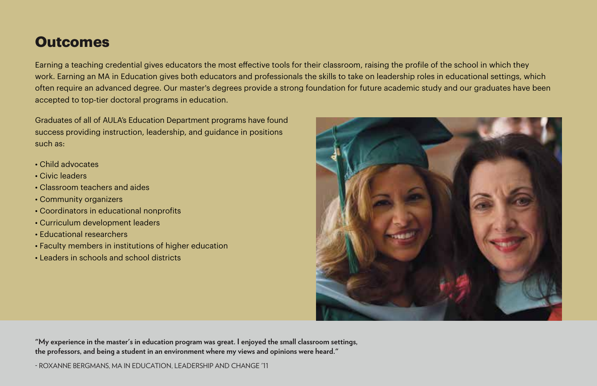## **Outcomes**

Earning a teaching credential gives educators the most effective tools for their classroom, raising the profile of the school in which they work. Earning an MA in Education gives both educators and professionals the skills to take on leadership roles in educational settings, which often require an advanced degree. Our master's degrees provide a strong foundation for future academic study and our graduates have been accepted to top-tier doctoral programs in education.

Graduates of all of AULA's Education Department programs have found success providing instruction, leadership, and guidance in positions such as:

- Child advocates
- Civic leaders
- Classroom teachers and aides
- Community organizers
- Coordinators in educational nonprofits
- Curriculum development leaders
- Educational researchers
- Faculty members in institutions of higher education
- Leaders in schools and school districts



**"My experience in the master's in education program was great. I enjoyed the small classroom settings, the professors, and being a student in an environment where my views and opinions were heard."** 

- ROXANNE BERGMANS, MA IN EDUCATION, LEADERSHIP AND CHANGE '11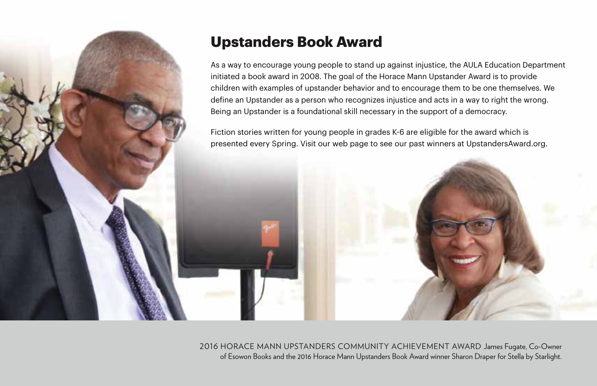

## **Upstanders Book Award**

As a way to encourage young people to stand up against injustice, the AULA Education Department initiated a book award in 2008. The goal of the Horace Mann Upstander Award is to provide children with examples of upstander behavior and to encourage them to be one themselves. We define an Upstander as a person who recognizes injustice and acts in a way to right the wrong. Being an Upstander is a foundational skill necessary in the support of a democracy.

Fiction stories written for young people in grades K-6 are eligible for the award which is presented every Spring. Visit our web page to see our past winners at UpstandersAward.org.

2016 HORACE MANN UPSTANDERS COMMUNITY ACHIEVEMENT AWARD James Fugate, Co-Owner of Esowon Books and the 2016 Horace Mann Upstanders Book Award winner Sharon Draper for Stella by Starlight.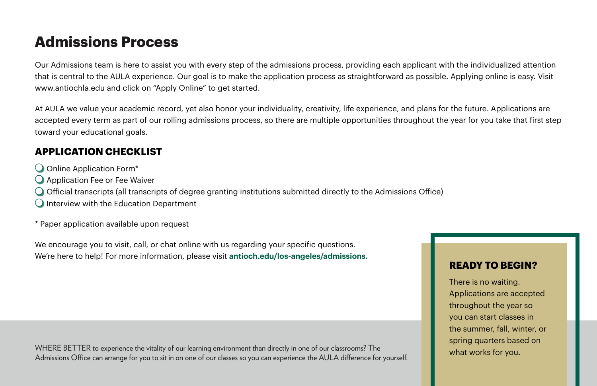## **Admissions Process**

Our Admissions team is here to assist you with every step of the admissions process, providing each applicant with the individualized attention that is central to the AULA experience. Our goal is to make the application process as straightforward as possible. Applying online is easy. Visit www.antiochla.edu and click on "Apply Online" to get started.

At AULA we value your academic record, yet also honor your individuality, creativity, life experience, and plans for the future. Applications are accepted every term as part of our rolling admissions process, so there are multiple opportunities throughout the year for you take that first step toward your educational goals.

#### **APPLICATION CHECKLIST**

- Online Application Form\*
- $\bigcirc$  Application Fee or Fee Waiver
- $\bigcirc$  Official transcripts (all transcripts of degree granting institutions submitted directly to the Admissions Office)
- $\bigcirc$  Interview with the Education Department
- \* Paper application available upon request

We encourage you to visit, call, or chat online with us regarding your specific questions. We're here to help! For more information, please visit **antioch.edu/los-angeles/admissions.**

WHERE BETTER to experience the vitality of our learning environment than directly in one of our classrooms? The Admissions Office can arrange for you to sit in on one of our classes so you can experience the AULA difference for yourself.

#### **READY TO BEGIN?**

There is no waiting. Applications are accepted throughout the year so you can start classes in the summer, fall, winter, or spring quarters based on what works for you.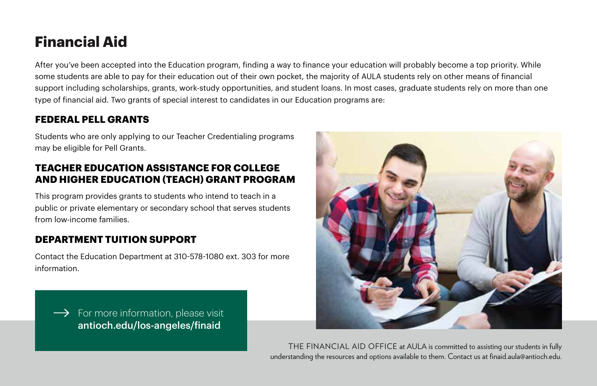## **Financial Aid**

After you've been accepted into the Education program, finding a way to finance your education will probably become a top priority. While some students are able to pay for their education out of their own pocket, the majority of AULA students rely on other means of financial support including scholarships, grants, work-study opportunities, and student loans. In most cases, graduate students rely on more than one type of financial aid. Two grants of special interest to candidates in our Education programs are:

### **FEDERAL PELL GRANTS**

Students who are only applying to our Teacher Credentialing programs may be eligible for Pell Grants.

#### **TEACHER EDUCATION ASSISTANCE FOR COLLEGE AND HIGHER EDUCATION (TEACH) GRANT PROGRAM**

This program provides grants to students who intend to teach in a public or private elementary or secondary school that serves students from low-income families.

#### **DEPARTMENT TUITION SUPPORT**

Contact the Education Department at 310-578-1080 ext. 303 for more information.

 $\rightarrow$  For more information, please visit antioch.edu/los-angeles/finaid



THE FINANCIAL AID OFFICE at AULA is committed to assisting our students in fully understanding the resources and options available to them. Contact us at finaid.aula@antioch.edu.